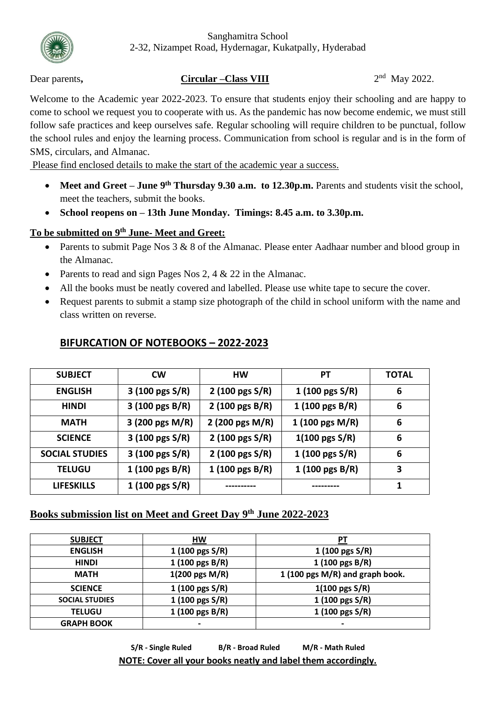

#### Sanghamitra School 2-32, Nizampet Road, Hydernagar, Kukatpally, Hyderabad

### Dear parents, Circular –Class VIII

 $2<sup>nd</sup>$  May 2022.

Welcome to the Academic year 2022-2023. To ensure that students enjoy their schooling and are happy to come to school we request you to cooperate with us. As the pandemic has now become endemic, we must still follow safe practices and keep ourselves safe. Regular schooling will require children to be punctual, follow the school rules and enjoy the learning process. Communication from school is regular and is in the form of SMS, circulars, and Almanac.

Please find enclosed details to make the start of the academic year a success.

- Meet and Greet June 9<sup>th</sup> Thursday 9.30 a.m. to 12.30p.m. Parents and students visit the school, meet the teachers, submit the books.
- **School reopens on – 13th June Monday. Timings: 8.45 a.m. to 3.30p.m.**

# **To be submitted on 9 th June- Meet and Greet:**

- Parents to submit Page Nos 3 & 8 of the Almanac. Please enter Aadhaar number and blood group in the Almanac.
- Parents to read and sign Pages Nos 2, 4  $& 22$  in the Almanac.
- All the books must be neatly covered and labelled. Please use white tape to secure the cover.
- Request parents to submit a stamp size photograph of the child in school uniform with the name and class written on reverse.

| <b>SUBJECT</b>        | <b>CW</b>                  | HW                        | PТ                        | <b>TOTAL</b> |
|-----------------------|----------------------------|---------------------------|---------------------------|--------------|
| <b>ENGLISH</b>        | $3(100 \text{ pgs S/R})$   | $2(100 \text{ pgs S/R})$  | 1 $(100 \text{ pgs S/R})$ | 6            |
| <b>HINDI</b>          | $3(100 \text{ pgs } B/R)$  | 2 (100 pgs $B/R$ )        | 1 (100 pgs $B/R$ )        | 6            |
| <b>MATH</b>           | 3 (200 pgs M/R)            | 2 (200 pgs $M/R$ )        | $1(100 \text{ pgs } M/R)$ | 6            |
| <b>SCIENCE</b>        | 3 (100 pgs $S/R$ )         | 2 (100 pgs $S/R$ )        | $1(100 \text{ pgs S/R})$  | 6            |
| <b>SOCIAL STUDIES</b> | $3(100 \text{ pgs S/R})$   | 2 (100 pgs S/R)           | 1 $(100 \text{ pgs S/R})$ | 6            |
| <b>TELUGU</b>         | 1 $(100 \text{ pgs } B/R)$ | $1(100 \text{ pgs } B/R)$ | 1 (100 pgs $B/R$ )        | 3            |
| <b>LIFESKILLS</b>     | 1 $(100 \text{ pgs S/R})$  |                           |                           |              |

# **BIFURCATION OF NOTEBOOKS – 2022-2023**

# **Books submission list on Meet and Greet Day 9 th June 2022-2023**

| <b>SUBJECT</b>        | HW                        | РT                              |
|-----------------------|---------------------------|---------------------------------|
| <b>ENGLISH</b>        | 1 $(100 \text{ pgs S/R})$ | 1 $(100 \text{ pgs S/R})$       |
| <b>HINDI</b>          | $1(100 \text{ pgs } B/R)$ | $1(100 \text{ pgs } B/R)$       |
| <b>MATH</b>           | $1(200 \text{ pgs } M/R)$ | 1 (100 pgs M/R) and graph book. |
| <b>SCIENCE</b>        | 1 $(100 \text{ pgs S/R})$ | $1(100 \text{ pgs } S/R)$       |
| <b>SOCIAL STUDIES</b> | 1 (100 pgs S/R)           | 1 (100 pgs S/R)                 |
| <b>TELUGU</b>         | 1 (100 pgs B/R)           | 1 (100 pgs S/R)                 |
| <b>GRAPH BOOK</b>     | $\overline{\phantom{0}}$  | $\blacksquare$                  |

**S/R - Single Ruled B/R - Broad Ruled M/R - Math Ruled NOTE: Cover all your books neatly and label them accordingly.**